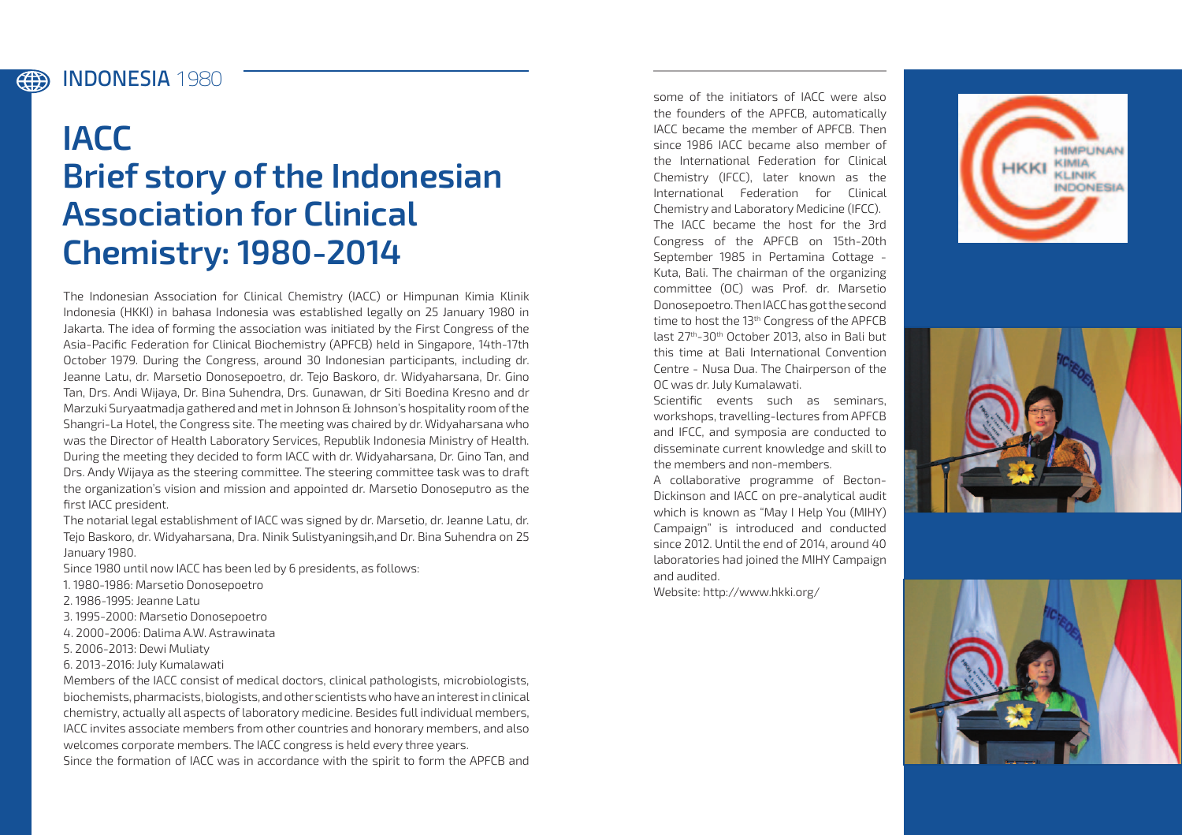INDONESIA **1980**

4

## **IACC Brief story of the Indonesian Association for Clinical Chemistry: 1980-2014**

The Indonesian Association for Clinical Chemistry (IACC) or Himpunan Kimia Klinik Indonesia (HKKI) in bahasa Indonesia was established legally on 25 January 1980 in Jakarta. The idea of forming the association was initiated by the First Congress of the Asia-Pacific Federation for Clinical Biochemistry (APFCB) held in Singapore, 14th-17th October 1979. During the Congress, around 30 Indonesian participants, including dr. Jeanne Latu, dr. Marsetio Donosepoetro, dr. Tejo Baskoro, dr. Widyaharsana, Dr. Gino Tan, Drs. Andi Wijaya, Dr. Bina Suhendra, Drs. Gunawan, dr Siti Boedina Kresno and dr Marzuki Suryaatmadja gathered and met in Johnson & Johnson's hospitality room of the Shangri-La Hotel, the Congress site. The meeting was chaired by dr. Widyaharsana who was the Director of Health Laboratory Services, Republik Indonesia Ministry of Health. During the meeting they decided to form IACC with dr. Widyaharsana, Dr. Gino Tan, and Drs. Andy Wijaya as the steering committee. The steering committee task was to draft the organization's vision and mission and appointed dr. Marsetio Donoseputro as the first IACC president.

The notarial legal establishment of IACC was signed by dr. Marsetio, dr. Jeanne Latu, dr. Tejo Baskoro, dr. Widyaharsana, Dra. Ninik Sulistyaningsih,and Dr. Bina Suhendra on 25 January 1980.

Since 1980 until now IACC has been led by 6 presidents, as follows:

- 1. 1980-1986: Marsetio Donosepoetro
- 2. 1986-1995: Jeanne Latu
- 3. 1995-2000: Marsetio Donosepoetro
- 4. 2000-2006: Dalima A.W. Astrawinata
- 5. 2006-2013: Dewi Muliaty
- 6. 2013-2016: July Kumalawati

Members of the IACC consist of medical doctors, clinical pathologists, microbiologists, biochemists, pharmacists, biologists, and other scientists who have an interest in clinical chemistry, actually all aspects of laboratory medicine. Besides full individual members, IACC invites associate members from other countries and honorary members, and also welcomes corporate members. The IACC congress is held every three years. Since the formation of IACC was in accordance with the spirit to form the APFCB and

some of the initiators of IACC were also the founders of the APFCB, automatically IACC became the member of APFCB. Then since 1986 IACC became also member of the International Federation for Clinical Chemistry (IFCC), later known as the International Federation for Clinical Chemistry and Laboratory Medicine (IFCC). The IACC became the host for the 3rd Congress of the APFCB on 15th-20th September 1985 in Pertamina Cottage - Kuta, Bali. The chairman of the organizing committee (OC) was Prof. dr. Marsetio Donosepoetro. Then IACC has got the second time to host the 13<sup>th</sup> Congress of the APFCB last 27th-30th October 2013, also in Bali but this time at Bali International Convention Centre - Nusa Dua. The Chairperson of the OC was dr. July Kumalawati.

Scientific events such as seminars, workshops, travelling-lectures from APFCB and IFCC, and symposia are conducted to disseminate current knowledge and skill to the members and non-members.

A collaborative programme of Becton-Dickinson and IACC on pre-analytical audit which is known as "May I Help You (MIHY) Campaign" is introduced and conducted since 2012. Until the end of 2014, around 40 laboratories had joined the MIHY Campaign and audited.

Website: http://www.hkki.org/